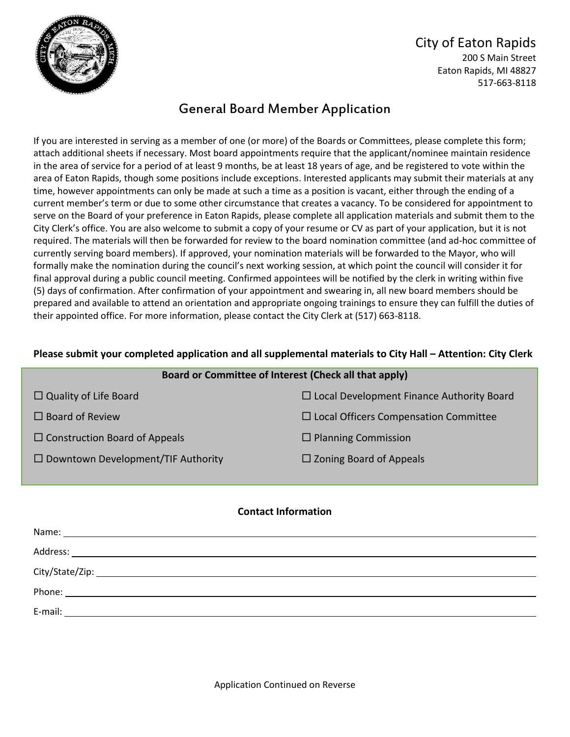

### City of Eaton Rapids 200 S Main Street Eaton Rapids, MI 48827 517-663-8118

# General Board Member Application

If you are interested in serving as a member of one (or more) of the Boards or Committees, please complete this form; attach additional sheets if necessary. Most board appointments require that the applicant/nominee maintain residence in the area of service for a period of at least 9 months, be at least 18 years of age, and be registered to vote within the area of Eaton Rapids, though some positions include exceptions. Interested applicants may submit their materials at any time, however appointments can only be made at such a time as a position is vacant, either through the ending of a current member's term or due to some other circumstance that creates a vacancy. To be considered for appointment to serve on the Board of your preference in Eaton Rapids, please complete all application materials and submit them to the City Clerk's office. You are also welcome to submit a copy of your resume or CV as part of your application, but it is not required. The materials will then be forwarded for review to the board nomination committee (and ad-hoc committee of currently serving board members). If approved, your nomination materials will be forwarded to the Mayor, who will formally make the nomination during the council's next working session, at which point the council will consider it for final approval during a public council meeting. Confirmed appointees will be notified by the clerk in writing within five (5) days of confirmation. After confirmation of your appointment and swearing in, all new board members should be prepared and available to attend an orientation and appropriate ongoing trainings to ensure they can fulfill the duties of their appointed office. For more information, please contact the City Clerk at (517) 663-8118.

#### **Please submit your completed application and all supplemental materials to City Hall – Attention: City Clerk**

| Board or Committee of Interest (Check all that apply) |                                                  |
|-------------------------------------------------------|--------------------------------------------------|
| $\Box$ Quality of Life Board                          | $\Box$ Local Development Finance Authority Board |
| $\Box$ Board of Review                                | $\Box$ Local Officers Compensation Committee     |
| $\Box$ Construction Board of Appeals                  | $\Box$ Planning Commission                       |
| $\Box$ Downtown Development/TIF Authority             | $\Box$ Zoning Board of Appeals                   |

#### **Contact Information**

| E-mail:<br><u> 1989 - Jan Samuel Barbara, martin da shekara tsara 1989 - Andrea Samuel Barbara, mashrida a shekara tsara 19</u> |
|---------------------------------------------------------------------------------------------------------------------------------|

Application Continued on Reverse